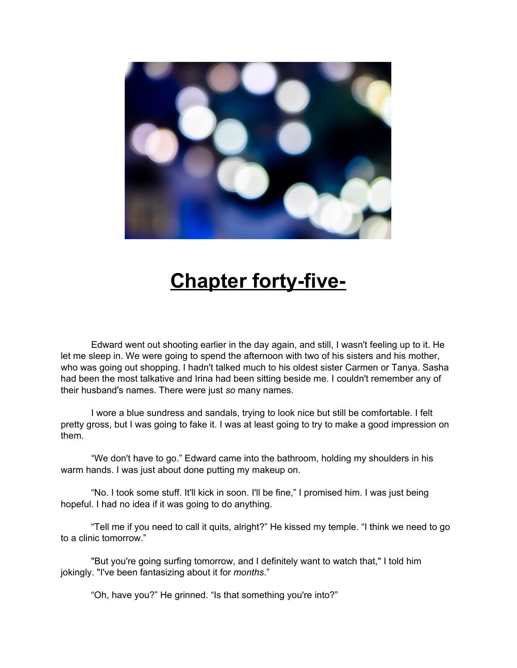

## **Chapter forty-five-**

Edward went out shooting earlier in the day again, and still, I wasn't feeling up to it. He let me sleep in. We were going to spend the afternoon with two of his sisters and his mother, who was going out shopping. I hadn't talked much to his oldest sister Carmen or Tanya. Sasha had been the most talkative and Irina had been sitting beside me. I couldn't remember any of their husband's names. There were just *so* many names.

I wore a blue sundress and sandals, trying to look nice but still be comfortable. I felt pretty gross, but I was going to fake it. I was at least going to try to make a good impression on them.

"We don't have to go." Edward came into the bathroom, holding my shoulders in his warm hands. I was just about done putting my makeup on.

"No. I took some stuff. It'll kick in soon. I'll be fine," I promised him. I was just being hopeful. I had no idea if it was going to do anything.

"Tell me if you need to call it quits, alright?" He kissed my temple. "I think we need to go to a clinic tomorrow."

"But you're going surfing tomorrow, and I definitely want to watch that," I told him jokingly. "I've been fantasizing about it for *months*."

"Oh, have you?" He grinned. "Is that something you're into?"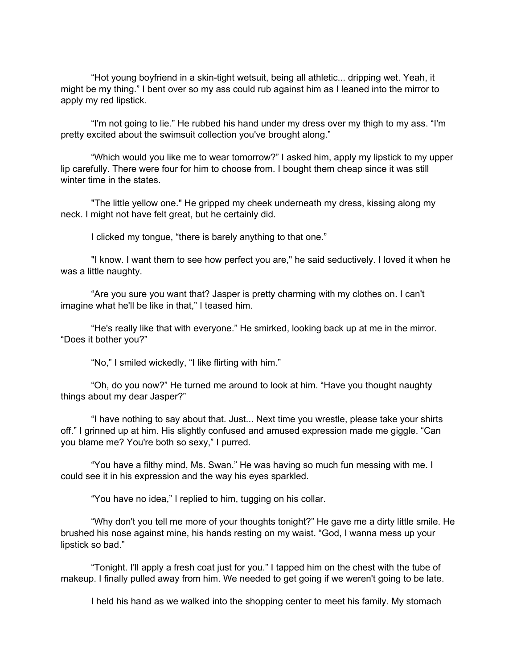"Hot young boyfriend in a skin-tight wetsuit, being all athletic... dripping wet. Yeah, it might be my thing." I bent over so my ass could rub against him as I leaned into the mirror to apply my red lipstick.

"I'm not going to lie." He rubbed his hand under my dress over my thigh to my ass. "I'm pretty excited about the swimsuit collection you've brought along."

"Which would you like me to wear tomorrow?" I asked him, apply my lipstick to my upper lip carefully. There were four for him to choose from. I bought them cheap since it was still winter time in the states.

"The little yellow one." He gripped my cheek underneath my dress, kissing along my neck. I might not have felt great, but he certainly did.

I clicked my tongue, "there is barely anything to that one."

"I know. I want them to see how perfect you are," he said seductively. I loved it when he was a little naughty.

"Are you sure you want that? Jasper is pretty charming with my clothes on. I can't imagine what he'll be like in that," I teased him.

"He's really like that with everyone." He smirked, looking back up at me in the mirror. "Does it bother you?"

"No," I smiled wickedly, "I like flirting with him."

"Oh, do you now?" He turned me around to look at him. "Have you thought naughty things about my dear Jasper?"

"I have nothing to say about that. Just... Next time you wrestle, please take your shirts off." I grinned up at him. His slightly confused and amused expression made me giggle. "Can you blame me? You're both so sexy," I purred.

"You have a filthy mind, Ms. Swan." He was having so much fun messing with me. I could see it in his expression and the way his eyes sparkled.

"You have no idea," I replied to him, tugging on his collar.

"Why don't you tell me more of your thoughts tonight?" He gave me a dirty little smile. He brushed his nose against mine, his hands resting on my waist. "God, I wanna mess up your lipstick so bad."

"Tonight. I'll apply a fresh coat just for you." I tapped him on the chest with the tube of makeup. I finally pulled away from him. We needed to get going if we weren't going to be late.

I held his hand as we walked into the shopping center to meet his family. My stomach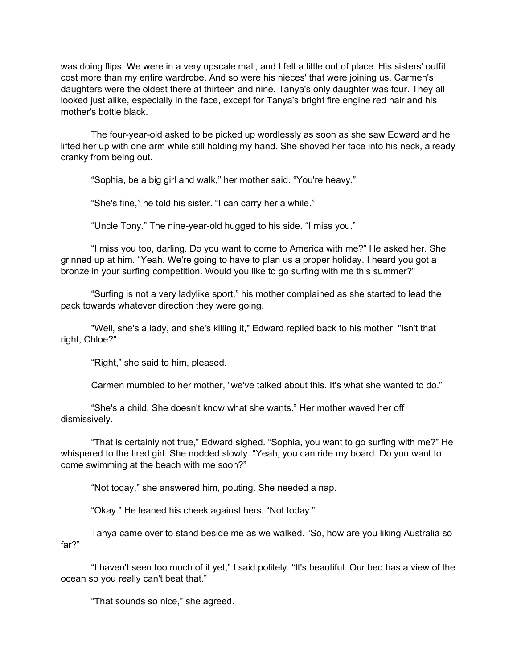was doing flips. We were in a very upscale mall, and I felt a little out of place. His sisters' outfit cost more than my entire wardrobe. And so were his nieces' that were joining us. Carmen's daughters were the oldest there at thirteen and nine. Tanya's only daughter was four. They all looked just alike, especially in the face, except for Tanya's bright fire engine red hair and his mother's bottle black.

The four-year-old asked to be picked up wordlessly as soon as she saw Edward and he lifted her up with one arm while still holding my hand. She shoved her face into his neck, already cranky from being out.

"Sophia, be a big girl and walk," her mother said. "You're heavy."

"She's fine," he told his sister. "I can carry her a while."

"Uncle Tony." The nine-year-old hugged to his side. "I miss you."

"I miss you too, darling. Do you want to come to America with me?" He asked her. She grinned up at him. "Yeah. We're going to have to plan us a proper holiday. I heard you got a bronze in your surfing competition. Would you like to go surfing with me this summer?"

"Surfing is not a very ladylike sport," his mother complained as she started to lead the pack towards whatever direction they were going.

"Well, she's a lady, and she's killing it," Edward replied back to his mother. "Isn't that right, Chloe?"

"Right," she said to him, pleased.

Carmen mumbled to her mother, "we've talked about this. It's what she wanted to do."

"She's a child. She doesn't know what she wants." Her mother waved her off dismissively.

"That is certainly not true," Edward sighed. "Sophia, you want to go surfing with me?" He whispered to the tired girl. She nodded slowly. "Yeah, you can ride my board. Do you want to come swimming at the beach with me soon?"

"Not today," she answered him, pouting. She needed a nap.

"Okay." He leaned his cheek against hers. "Not today."

Tanya came over to stand beside me as we walked. "So, how are you liking Australia so far?"

"I haven't seen too much of it yet," I said politely. "It's beautiful. Our bed has a view of the ocean so you really can't beat that."

"That sounds so nice," she agreed.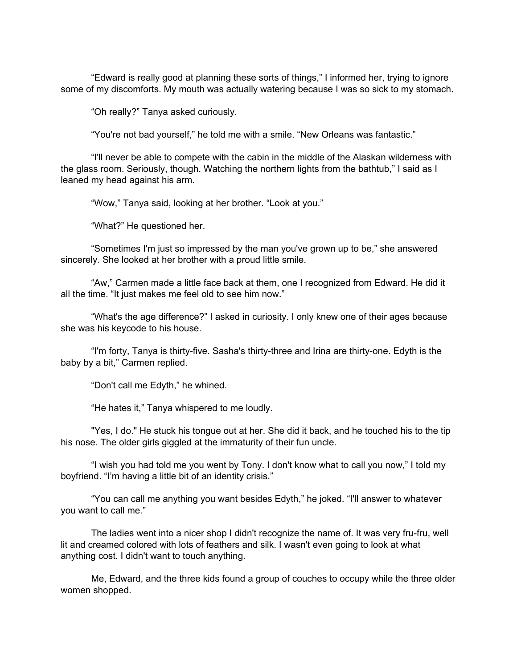"Edward is really good at planning these sorts of things," I informed her, trying to ignore some of my discomforts. My mouth was actually watering because I was so sick to my stomach.

"Oh really?" Tanya asked curiously.

"You're not bad yourself," he told me with a smile. "New Orleans was fantastic."

"I'll never be able to compete with the cabin in the middle of the Alaskan wilderness with the glass room. Seriously, though. Watching the northern lights from the bathtub," I said as I leaned my head against his arm.

"Wow," Tanya said, looking at her brother. "Look at you."

"What?" He questioned her.

"Sometimes I'm just so impressed by the man you've grown up to be," she answered sincerely. She looked at her brother with a proud little smile.

"Aw," Carmen made a little face back at them, one I recognized from Edward. He did it all the time. "It just makes me feel old to see him now."

"What's the age difference?" I asked in curiosity. I only knew one of their ages because she was his keycode to his house.

"I'm forty, Tanya is thirty-five. Sasha's thirty-three and Irina are thirty-one. Edyth is the baby by a bit," Carmen replied.

"Don't call me Edyth," he whined.

"He hates it," Tanya whispered to me loudly.

"Yes, I do." He stuck his tongue out at her. She did it back, and he touched his to the tip his nose. The older girls giggled at the immaturity of their fun uncle.

"I wish you had told me you went by Tony. I don't know what to call you now," I told my boyfriend. "I'm having a little bit of an identity crisis."

"You can call me anything you want besides Edyth," he joked. "I'll answer to whatever you want to call me."

The ladies went into a nicer shop I didn't recognize the name of. It was very fru-fru, well lit and creamed colored with lots of feathers and silk. I wasn't even going to look at what anything cost. I didn't want to touch anything.

Me, Edward, and the three kids found a group of couches to occupy while the three older women shopped.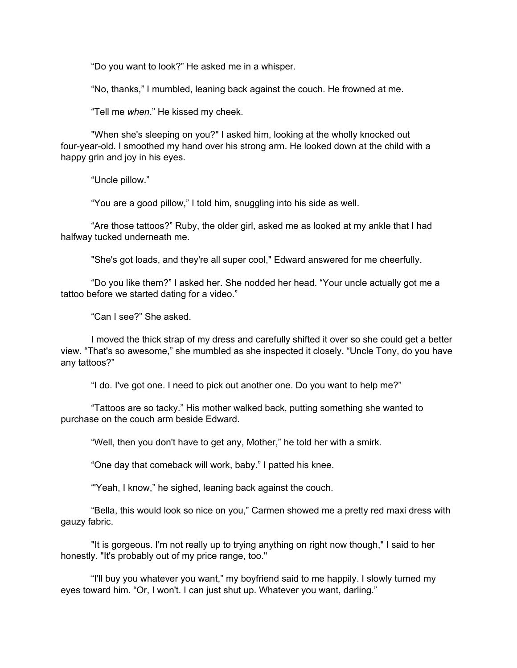"Do you want to look?" He asked me in a whisper.

"No, thanks," I mumbled, leaning back against the couch. He frowned at me.

"Tell me *when*." He kissed my cheek.

"When she's sleeping on you?" I asked him, looking at the wholly knocked out four-year-old. I smoothed my hand over his strong arm. He looked down at the child with a happy grin and joy in his eyes.

"Uncle pillow."

"You are a good pillow," I told him, snuggling into his side as well.

"Are those tattoos?" Ruby, the older girl, asked me as looked at my ankle that I had halfway tucked underneath me.

"She's got loads, and they're all super cool," Edward answered for me cheerfully.

"Do you like them?" I asked her. She nodded her head. "Your uncle actually got me a tattoo before we started dating for a video."

"Can I see?" She asked.

I moved the thick strap of my dress and carefully shifted it over so she could get a better view. "That's so awesome," she mumbled as she inspected it closely. "Uncle Tony, do you have any tattoos?"

"I do. I've got one. I need to pick out another one. Do you want to help me?"

"Tattoos are so tacky." His mother walked back, putting something she wanted to purchase on the couch arm beside Edward.

"Well, then you don't have to get any, Mother," he told her with a smirk.

"One day that comeback will work, baby." I patted his knee.

"'Yeah, I know," he sighed, leaning back against the couch.

"Bella, this would look so nice on you," Carmen showed me a pretty red maxi dress with gauzy fabric.

"It is gorgeous. I'm not really up to trying anything on right now though," I said to her honestly. "It's probably out of my price range, too."

"I'll buy you whatever you want," my boyfriend said to me happily. I slowly turned my eyes toward him. "Or, I won't. I can just shut up. Whatever you want, darling."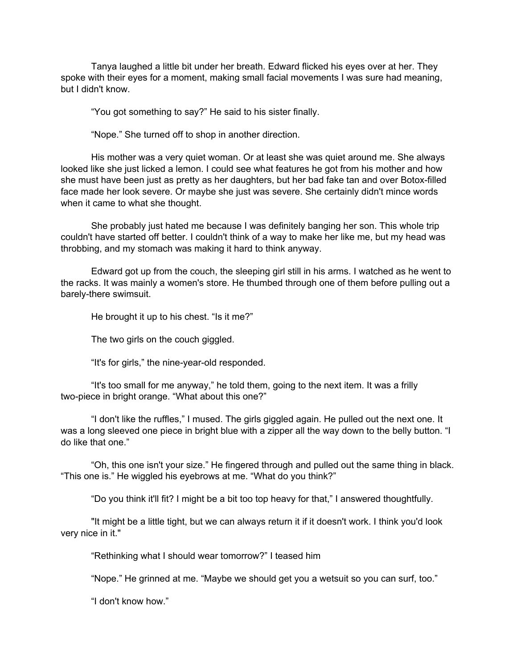Tanya laughed a little bit under her breath. Edward flicked his eyes over at her. They spoke with their eyes for a moment, making small facial movements I was sure had meaning, but I didn't know.

"You got something to say?" He said to his sister finally.

"Nope." She turned off to shop in another direction.

His mother was a very quiet woman. Or at least she was quiet around me. She always looked like she just licked a lemon. I could see what features he got from his mother and how she must have been just as pretty as her daughters, but her bad fake tan and over Botox-filled face made her look severe. Or maybe she just was severe. She certainly didn't mince words when it came to what she thought.

She probably just hated me because I was definitely banging her son. This whole trip couldn't have started off better. I couldn't think of a way to make her like me, but my head was throbbing, and my stomach was making it hard to think anyway.

Edward got up from the couch, the sleeping girl still in his arms. I watched as he went to the racks. It was mainly a women's store. He thumbed through one of them before pulling out a barely-there swimsuit.

He brought it up to his chest. "Is it me?"

The two girls on the couch giggled.

"It's for girls," the nine-year-old responded.

"It's too small for me anyway," he told them, going to the next item. It was a frilly two-piece in bright orange. "What about this one?"

"I don't like the ruffles," I mused. The girls giggled again. He pulled out the next one. It was a long sleeved one piece in bright blue with a zipper all the way down to the belly button. "I do like that one."

"Oh, this one isn't your size." He fingered through and pulled out the same thing in black. "This one is." He wiggled his eyebrows at me. "What do you think?"

"Do you think it'll fit? I might be a bit too top heavy for that," I answered thoughtfully.

"It might be a little tight, but we can always return it if it doesn't work. I think you'd look very nice in it."

"Rethinking what I should wear tomorrow?" I teased him

"Nope." He grinned at me. "Maybe we should get you a wetsuit so you can surf, too."

"I don't know how."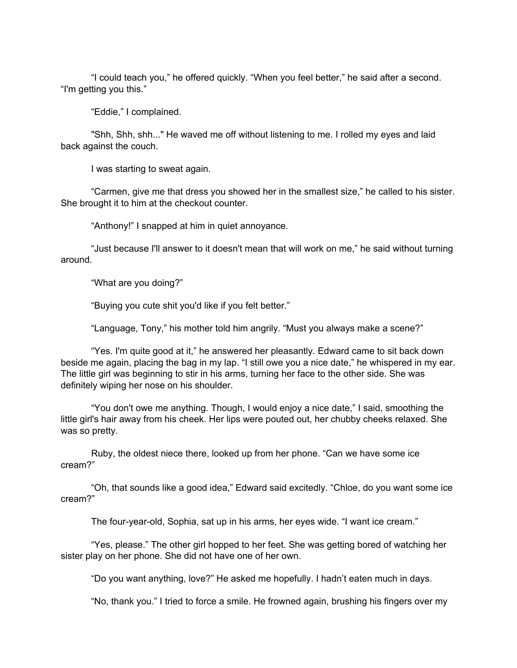"I could teach you," he offered quickly. "When you feel better," he said after a second. "I'm getting you this."

"Eddie," I complained.

"Shh, Shh, shh..." He waved me off without listening to me. I rolled my eyes and laid back against the couch.

I was starting to sweat again.

"Carmen, give me that dress you showed her in the smallest size," he called to his sister. She brought it to him at the checkout counter.

"Anthony!" I snapped at him in quiet annoyance.

"Just because I'll answer to it doesn't mean that will work on me," he said without turning around.

"What are you doing?"

"Buying you cute shit you'd like if you felt better."

"Language, Tony," his mother told him angrily. "Must you always make a scene?"

"Yes. I'm quite good at it," he answered her pleasantly. Edward came to sit back down beside me again, placing the bag in my lap. "I still owe you a nice date," he whispered in my ear. The little girl was beginning to stir in his arms, turning her face to the other side. She was definitely wiping her nose on his shoulder.

"You don't owe me anything. Though, I would enjoy a nice date," I said, smoothing the little girl's hair away from his cheek. Her lips were pouted out, her chubby cheeks relaxed. She was so pretty.

Ruby, the oldest niece there, looked up from her phone. "Can we have some ice cream?"

"Oh, that sounds like a good idea," Edward said excitedly. "Chloe, do you want some ice cream?"

The four-year-old, Sophia, sat up in his arms, her eyes wide. "I want ice cream."

"Yes, please." The other girl hopped to her feet. She was getting bored of watching her sister play on her phone. She did not have one of her own.

"Do you want anything, love?" He asked me hopefully. I hadn't eaten much in days.

"No, thank you." I tried to force a smile. He frowned again, brushing his fingers over my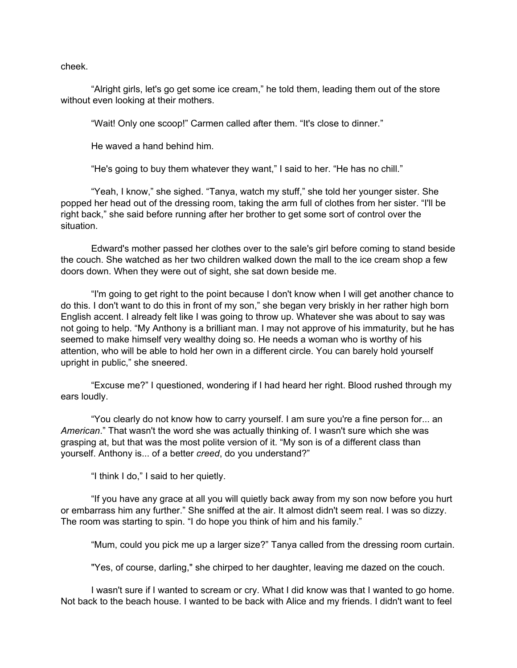cheek.

"Alright girls, let's go get some ice cream," he told them, leading them out of the store without even looking at their mothers.

"Wait! Only one scoop!" Carmen called after them. "It's close to dinner."

He waved a hand behind him.

"He's going to buy them whatever they want," I said to her. "He has no chill."

"Yeah, I know," she sighed. "Tanya, watch my stuff," she told her younger sister. She popped her head out of the dressing room, taking the arm full of clothes from her sister. "I'll be right back," she said before running after her brother to get some sort of control over the situation.

Edward's mother passed her clothes over to the sale's girl before coming to stand beside the couch. She watched as her two children walked down the mall to the ice cream shop a few doors down. When they were out of sight, she sat down beside me.

"I'm going to get right to the point because I don't know when I will get another chance to do this. I don't want to do this in front of my son," she began very briskly in her rather high born English accent. I already felt like I was going to throw up. Whatever she was about to say was not going to help. "My Anthony is a brilliant man. I may not approve of his immaturity, but he has seemed to make himself very wealthy doing so. He needs a woman who is worthy of his attention, who will be able to hold her own in a different circle. You can barely hold yourself upright in public," she sneered.

"Excuse me?" I questioned, wondering if I had heard her right. Blood rushed through my ears loudly.

"You clearly do not know how to carry yourself. I am sure you're a fine person for... an *American*." That wasn't the word she was actually thinking of. I wasn't sure which she was grasping at, but that was the most polite version of it. "My son is of a different class than yourself. Anthony is... of a better *creed*, do you understand?"

"I think I do," I said to her quietly.

"If you have any grace at all you will quietly back away from my son now before you hurt or embarrass him any further." She sniffed at the air. It almost didn't seem real. I was so dizzy. The room was starting to spin. "I do hope you think of him and his family."

"Mum, could you pick me up a larger size?" Tanya called from the dressing room curtain.

"Yes, of course, darling," she chirped to her daughter, leaving me dazed on the couch.

I wasn't sure if I wanted to scream or cry. What I did know was that I wanted to go home. Not back to the beach house. I wanted to be back with Alice and my friends. I didn't want to feel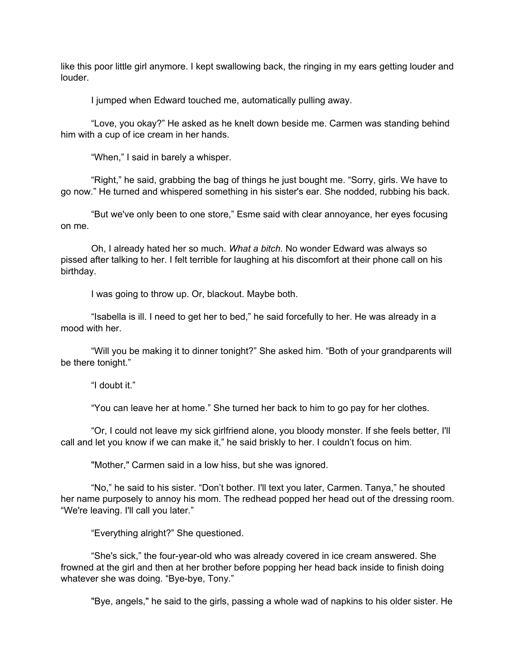like this poor little girl anymore. I kept swallowing back, the ringing in my ears getting louder and louder.

I jumped when Edward touched me, automatically pulling away.

"Love, you okay?" He asked as he knelt down beside me. Carmen was standing behind him with a cup of ice cream in her hands.

"When," I said in barely a whisper.

"Right," he said, grabbing the bag of things he just bought me. "Sorry, girls. We have to go now." He turned and whispered something in his sister's ear. She nodded, rubbing his back.

"But we've only been to one store," Esme said with clear annoyance, her eyes focusing on me.

Oh, I already hated her so much. *What a bitch.* No wonder Edward was always so pissed after talking to her. I felt terrible for laughing at his discomfort at their phone call on his birthday.

I was going to throw up. Or, blackout. Maybe both.

"Isabella is ill. I need to get her to bed," he said forcefully to her. He was already in a mood with her.

"Will you be making it to dinner tonight?" She asked him. "Both of your grandparents will be there tonight."

"I doubt it."

"You can leave her at home." She turned her back to him to go pay for her clothes.

"Or, I could not leave my sick girlfriend alone, you bloody monster. If she feels better, I'll call and let you know if we can make it," he said briskly to her. I couldn't focus on him.

"Mother," Carmen said in a low hiss, but she was ignored.

"No," he said to his sister. "Don't bother. I'll text you later, Carmen. Tanya," he shouted her name purposely to annoy his mom. The redhead popped her head out of the dressing room. "We're leaving. I'll call you later."

"Everything alright?" She questioned.

"She's sick," the four-year-old who was already covered in ice cream answered. She frowned at the girl and then at her brother before popping her head back inside to finish doing whatever she was doing. "Bye-bye, Tony."

"Bye, angels," he said to the girls, passing a whole wad of napkins to his older sister. He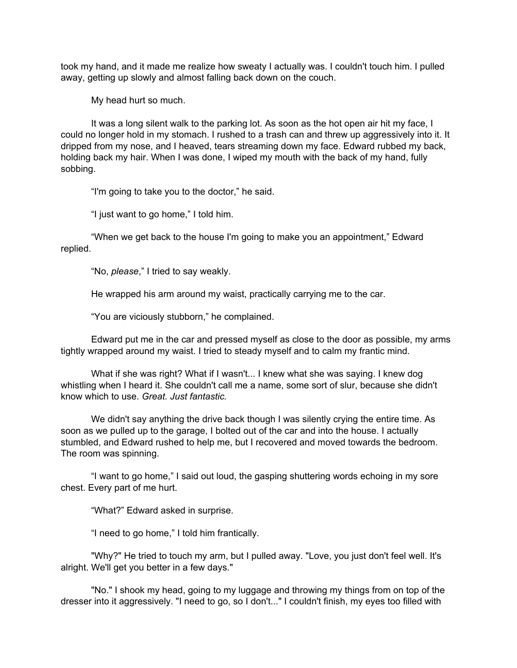took my hand, and it made me realize how sweaty I actually was. I couldn't touch him. I pulled away, getting up slowly and almost falling back down on the couch.

My head hurt so much.

It was a long silent walk to the parking lot. As soon as the hot open air hit my face, I could no longer hold in my stomach. I rushed to a trash can and threw up aggressively into it. It dripped from my nose, and I heaved, tears streaming down my face. Edward rubbed my back, holding back my hair. When I was done, I wiped my mouth with the back of my hand, fully sobbing.

"I'm going to take you to the doctor," he said.

"I just want to go home," I told him.

"When we get back to the house I'm going to make you an appointment," Edward replied.

"No, *please*," I tried to say weakly.

He wrapped his arm around my waist, practically carrying me to the car.

"You are viciously stubborn," he complained.

Edward put me in the car and pressed myself as close to the door as possible, my arms tightly wrapped around my waist. I tried to steady myself and to calm my frantic mind.

What if she was right? What if I wasn't... I knew what she was saying. I knew dog whistling when I heard it. She couldn't call me a name, some sort of slur, because she didn't know which to use. *Great. Just fantastic.*

We didn't say anything the drive back though I was silently crying the entire time. As soon as we pulled up to the garage, I bolted out of the car and into the house. I actually stumbled, and Edward rushed to help me, but I recovered and moved towards the bedroom. The room was spinning.

"I want to go home," I said out loud, the gasping shuttering words echoing in my sore chest. Every part of me hurt.

"What?" Edward asked in surprise.

"I need to go home," I told him frantically.

"Why?" He tried to touch my arm, but I pulled away. "Love, you just don't feel well. It's alright. We'll get you better in a few days."

"No." I shook my head, going to my luggage and throwing my things from on top of the dresser into it aggressively. "I need to go, so I don't..." I couldn't finish, my eyes too filled with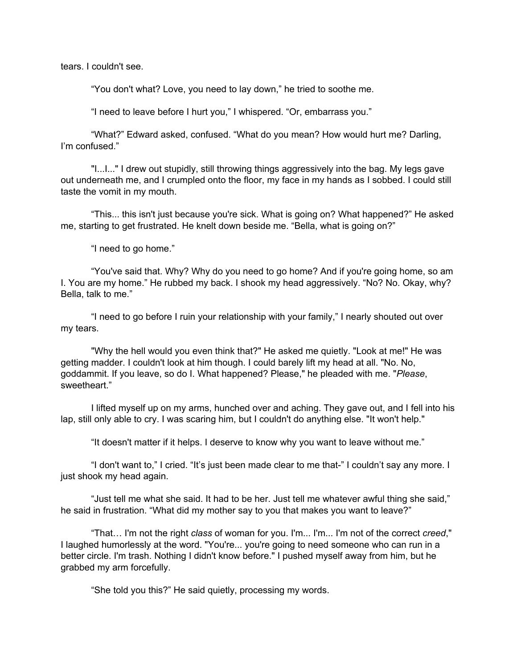tears. I couldn't see.

"You don't what? Love, you need to lay down," he tried to soothe me.

"I need to leave before I hurt you," I whispered. "Or, embarrass you."

"What?" Edward asked, confused. "What do you mean? How would hurt me? Darling, I'm confused."

"I...I..." I drew out stupidly, still throwing things aggressively into the bag. My legs gave out underneath me, and I crumpled onto the floor, my face in my hands as I sobbed. I could still taste the vomit in my mouth.

"This... this isn't just because you're sick. What is going on? What happened?" He asked me, starting to get frustrated. He knelt down beside me. "Bella, what is going on?"

"I need to go home."

"You've said that. Why? Why do you need to go home? And if you're going home, so am I. You are my home." He rubbed my back. I shook my head aggressively. "No? No. Okay, why? Bella, talk to me."

"I need to go before I ruin your relationship with your family," I nearly shouted out over my tears.

"Why the hell would you even think that?" He asked me quietly. "Look at me!" He was getting madder. I couldn't look at him though. I could barely lift my head at all. "No. No, goddammit. If you leave, so do I. What happened? Please," he pleaded with me. "*Please*, sweetheart."

I lifted myself up on my arms, hunched over and aching. They gave out, and I fell into his lap, still only able to cry. I was scaring him, but I couldn't do anything else. "It won't help."

"It doesn't matter if it helps. I deserve to know why you want to leave without me."

"I don't want to," I cried. "It's just been made clear to me that-" I couldn't say any more. I just shook my head again.

"Just tell me what she said. It had to be her. Just tell me whatever awful thing she said," he said in frustration. "What did my mother say to you that makes you want to leave?"

"That… I'm not the right *class* of woman for you. I'm... I'm... I'm not of the correct *creed*," I laughed humorlessly at the word. "You're... you're going to need someone who can run in a better circle. I'm trash. Nothing I didn't know before." I pushed myself away from him, but he grabbed my arm forcefully.

"She told you this?" He said quietly, processing my words.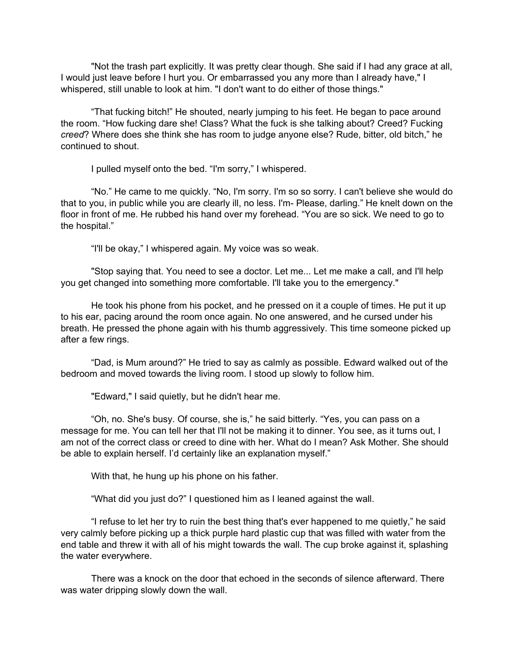"Not the trash part explicitly. It was pretty clear though. She said if I had any grace at all, I would just leave before I hurt you. Or embarrassed you any more than I already have," I whispered, still unable to look at him. "I don't want to do either of those things."

"That fucking bitch!" He shouted, nearly jumping to his feet. He began to pace around the room. "How fucking dare she! Class? What the fuck is she talking about? Creed? Fucking *creed*? Where does she think she has room to judge anyone else? Rude, bitter, old bitch," he continued to shout.

I pulled myself onto the bed. "I'm sorry," I whispered.

"No." He came to me quickly. "No, I'm sorry. I'm so so sorry. I can't believe she would do that to you, in public while you are clearly ill, no less. I'm- Please, darling." He knelt down on the floor in front of me. He rubbed his hand over my forehead. "You are so sick. We need to go to the hospital."

"I'll be okay," I whispered again. My voice was so weak.

"Stop saying that. You need to see a doctor. Let me... Let me make a call, and I'll help you get changed into something more comfortable. I'll take you to the emergency."

He took his phone from his pocket, and he pressed on it a couple of times. He put it up to his ear, pacing around the room once again. No one answered, and he cursed under his breath. He pressed the phone again with his thumb aggressively. This time someone picked up after a few rings.

"Dad, is Mum around?" He tried to say as calmly as possible. Edward walked out of the bedroom and moved towards the living room. I stood up slowly to follow him.

"Edward," I said quietly, but he didn't hear me.

"Oh, no. She's busy. Of course, she is," he said bitterly. "Yes, you can pass on a message for me. You can tell her that I'll not be making it to dinner. You see, as it turns out, I am not of the correct class or creed to dine with her. What do I mean? Ask Mother. She should be able to explain herself. I'd certainly like an explanation myself."

With that, he hung up his phone on his father.

"What did you just do?" I questioned him as I leaned against the wall.

"I refuse to let her try to ruin the best thing that's ever happened to me quietly," he said very calmly before picking up a thick purple hard plastic cup that was filled with water from the end table and threw it with all of his might towards the wall. The cup broke against it, splashing the water everywhere.

There was a knock on the door that echoed in the seconds of silence afterward. There was water dripping slowly down the wall.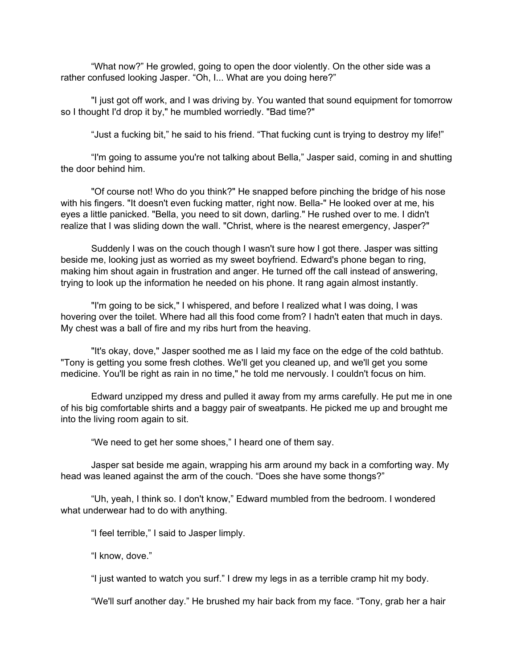"What now?" He growled, going to open the door violently. On the other side was a rather confused looking Jasper. "Oh, I... What are you doing here?"

"I just got off work, and I was driving by. You wanted that sound equipment for tomorrow so I thought I'd drop it by," he mumbled worriedly. "Bad time?"

"Just a fucking bit," he said to his friend. "That fucking cunt is trying to destroy my life!"

"I'm going to assume you're not talking about Bella," Jasper said, coming in and shutting the door behind him.

"Of course not! Who do you think?" He snapped before pinching the bridge of his nose with his fingers. "It doesn't even fucking matter, right now. Bella-" He looked over at me, his eyes a little panicked. "Bella, you need to sit down, darling." He rushed over to me. I didn't realize that I was sliding down the wall. "Christ, where is the nearest emergency, Jasper?"

Suddenly I was on the couch though I wasn't sure how I got there. Jasper was sitting beside me, looking just as worried as my sweet boyfriend. Edward's phone began to ring, making him shout again in frustration and anger. He turned off the call instead of answering, trying to look up the information he needed on his phone. It rang again almost instantly.

"I'm going to be sick," I whispered, and before I realized what I was doing, I was hovering over the toilet. Where had all this food come from? I hadn't eaten that much in days. My chest was a ball of fire and my ribs hurt from the heaving.

"It's okay, dove," Jasper soothed me as I laid my face on the edge of the cold bathtub. "Tony is getting you some fresh clothes. We'll get you cleaned up, and we'll get you some medicine. You'll be right as rain in no time," he told me nervously. I couldn't focus on him.

Edward unzipped my dress and pulled it away from my arms carefully. He put me in one of his big comfortable shirts and a baggy pair of sweatpants. He picked me up and brought me into the living room again to sit.

"We need to get her some shoes," I heard one of them say.

Jasper sat beside me again, wrapping his arm around my back in a comforting way. My head was leaned against the arm of the couch. "Does she have some thongs?"

"Uh, yeah, I think so. I don't know," Edward mumbled from the bedroom. I wondered what underwear had to do with anything.

"I feel terrible," I said to Jasper limply.

"I know, dove."

"I just wanted to watch you surf." I drew my legs in as a terrible cramp hit my body.

"We'll surf another day." He brushed my hair back from my face. "Tony, grab her a hair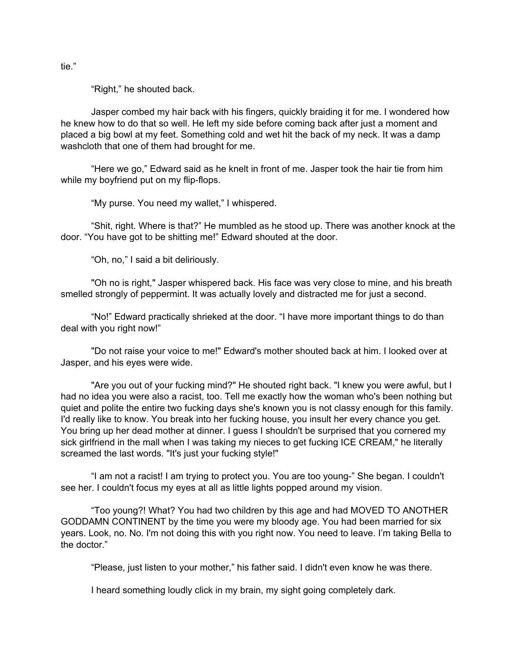"Right," he shouted back.

Jasper combed my hair back with his fingers, quickly braiding it for me. I wondered how he knew how to do that so well. He left my side before coming back after just a moment and placed a big bowl at my feet. Something cold and wet hit the back of my neck. It was a damp washcloth that one of them had brought for me.

"Here we go," Edward said as he knelt in front of me. Jasper took the hair tie from him while my boyfriend put on my flip-flops.

"My purse. You need my wallet," I whispered.

"Shit, right. Where is that?" He mumbled as he stood up. There was another knock at the door. "You have got to be shitting me!" Edward shouted at the door.

"Oh, no," I said a bit deliriously.

"Oh no is right," Jasper whispered back. His face was very close to mine, and his breath smelled strongly of peppermint. It was actually lovely and distracted me for just a second.

"No!" Edward practically shrieked at the door. "I have more important things to do than deal with you right now!"

"Do not raise your voice to me!" Edward's mother shouted back at him. I looked over at Jasper, and his eyes were wide.

"Are you out of your fucking mind?" He shouted right back. "I knew you were awful, but I had no idea you were also a racist, too. Tell me exactly how the woman who's been nothing but quiet and polite the entire two fucking days she's known you is not classy enough for this family. I'd really like to know. You break into her fucking house, you insult her every chance you get. You bring up her dead mother at dinner. I guess I shouldn't be surprised that you cornered my sick girlfriend in the mall when I was taking my nieces to get fucking ICE CREAM," he literally screamed the last words. "It's just your fucking style!"

"I am not a racist! I am trying to protect you. You are too young-" She began. I couldn't see her. I couldn't focus my eyes at all as little lights popped around my vision.

"Too young?! What? You had two children by this age and had MOVED TO ANOTHER GODDAMN CONTINENT by the time you were my bloody age. You had been married for six years. Look, no. No. I'm not doing this with you right now. You need to leave. I'm taking Bella to the doctor."

"Please, just listen to your mother," his father said. I didn't even know he was there.

I heard something loudly click in my brain, my sight going completely dark.

tie."